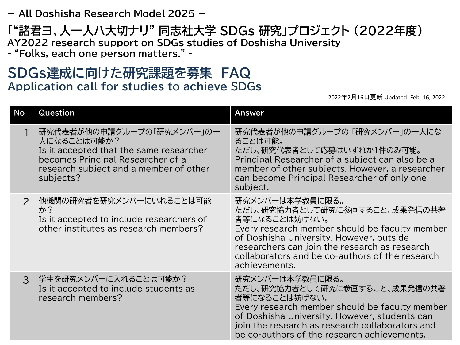## **- All Doshisha Research Model 2025 -**

## **「"諸君ヨ、人一人ハ大切ナリ" 同志社大学 SDGs 研究」プロジェクト (2022年度) AY2022 research support on SDGs studies of Doshisha University**

**- "Folks, each one person matters." -**

## **SDGs達成に向けた研究課題を募集 FAQ Application call for studies to achieve SDGs**

## 2022年2月16日更新 Updated: Feb. 16, 2022

| No            | Question                                                                                                                                                                        | <b>Answer</b>                                                                                                                                                                                                                                                                        |
|---------------|---------------------------------------------------------------------------------------------------------------------------------------------------------------------------------|--------------------------------------------------------------------------------------------------------------------------------------------------------------------------------------------------------------------------------------------------------------------------------------|
|               | 研究代表者が他の申請グループの「研究メンバー」の一<br>人になることは可能か?<br>Is it accepted that the same researcher<br>becomes Principal Researcher of a<br>research subject and a member of other<br>subjects? | 研究代表者が他の申請グループの 「研究メンバー」の一人にな<br>ることは可能。<br>ただし、研究代表者として応募はいずれか1件のみ可能。<br>Principal Researcher of a subject can also be a<br>member of other subjects. However, a researcher<br>can become Principal Researcher of only one<br>subject.                                              |
| $\mathcal{P}$ | 他機関の研究者を研究メンバーにいれることは可能<br>か?<br>Is it accepted to include researchers of<br>other institutes as research members?                                                              | 研究メンバーは本学教員に限る。<br>ただし、研究協力者として研究に参画すること、成果発信の共著<br>者等になることは妨げない。<br>Every research member should be faculty member<br>of Doshisha University. However, outside<br>researchers can join the research as research<br>collaborators and be co-authors of the research<br>achievements. |
| $\mathcal{S}$ | 学生を研究メンバーに入れることは可能か?<br>Is it accepted to include students as<br>research members?                                                                                              | 研究メンバーは本学教員に限る。<br>ただし、研究協力者として研究に参画すること、成果発信の共著<br>者等になることは妨げない。<br>Every research member should be faculty member<br>of Doshisha University. However, students can<br>join the research as research collaborators and<br>be co-authors of the research achievements.               |